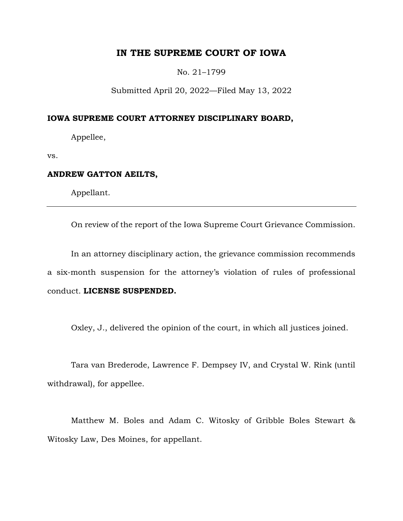# **IN THE SUPREME COURT OF IOWA**

No. 21–1799

Submitted April 20, 2022—Filed May 13, 2022

### **IOWA SUPREME COURT ATTORNEY DISCIPLINARY BOARD,**

Appellee,

vs.

## **ANDREW GATTON AEILTS,**

Appellant.

On review of the report of the Iowa Supreme Court Grievance Commission.

In an attorney disciplinary action, the grievance commission recommends a six-month suspension for the attorney's violation of rules of professional conduct. **LICENSE SUSPENDED.**

Oxley, J., delivered the opinion of the court, in which all justices joined.

Tara van Brederode, Lawrence F. Dempsey IV, and Crystal W. Rink (until withdrawal), for appellee.

Matthew M. Boles and Adam C. Witosky of Gribble Boles Stewart & Witosky Law, Des Moines, for appellant.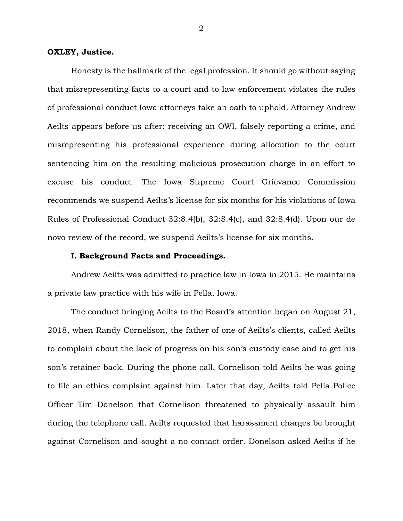### **OXLEY, Justice.**

Honesty is the hallmark of the legal profession. It should go without saying that misrepresenting facts to a court and to law enforcement violates the rules of professional conduct Iowa attorneys take an oath to uphold. Attorney Andrew Aeilts appears before us after: receiving an OWI, falsely reporting a crime, and misrepresenting his professional experience during allocution to the court sentencing him on the resulting malicious prosecution charge in an effort to excuse his conduct. The Iowa Supreme Court Grievance Commission recommends we suspend Aeilts's license for six months for his violations of Iowa Rules of Professional Conduct 32:8.4(b), 32:8.4(c), and 32:8.4(d). Upon our de novo review of the record, we suspend Aeilts's license for six months.

### **I. Background Facts and Proceedings.**

Andrew Aeilts was admitted to practice law in Iowa in 2015. He maintains a private law practice with his wife in Pella, Iowa.

The conduct bringing Aeilts to the Board's attention began on August 21, 2018, when Randy Cornelison, the father of one of Aeilts's clients, called Aeilts to complain about the lack of progress on his son's custody case and to get his son's retainer back. During the phone call, Cornelison told Aeilts he was going to file an ethics complaint against him. Later that day, Aeilts told Pella Police Officer Tim Donelson that Cornelison threatened to physically assault him during the telephone call. Aeilts requested that harassment charges be brought against Cornelison and sought a no-contact order. Donelson asked Aeilts if he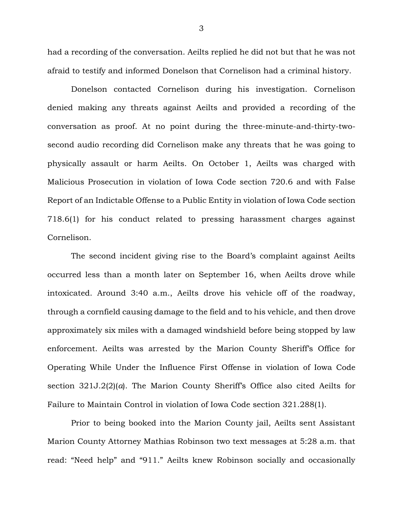had a recording of the conversation. Aeilts replied he did not but that he was not afraid to testify and informed Donelson that Cornelison had a criminal history.

Donelson contacted Cornelison during his investigation. Cornelison denied making any threats against Aeilts and provided a recording of the conversation as proof. At no point during the three-minute-and-thirty-twosecond audio recording did Cornelison make any threats that he was going to physically assault or harm Aeilts. On October 1, Aeilts was charged with Malicious Prosecution in violation of Iowa Code section 720.6 and with False Report of an Indictable Offense to a Public Entity in violation of Iowa Code section 718.6(1) for his conduct related to pressing harassment charges against Cornelison.

The second incident giving rise to the Board's complaint against Aeilts occurred less than a month later on September 16, when Aeilts drove while intoxicated. Around 3:40 a.m., Aeilts drove his vehicle off of the roadway, through a cornfield causing damage to the field and to his vehicle, and then drove approximately six miles with a damaged windshield before being stopped by law enforcement. Aeilts was arrested by the Marion County Sheriff's Office for Operating While Under the Influence First Offense in violation of Iowa Code section 321J.2(2)(*a*). The Marion County Sheriff's Office also cited Aeilts for Failure to Maintain Control in violation of Iowa Code section 321.288(1).

Prior to being booked into the Marion County jail, Aeilts sent Assistant Marion County Attorney Mathias Robinson two text messages at 5:28 a.m. that read: "Need help" and "911." Aeilts knew Robinson socially and occasionally

3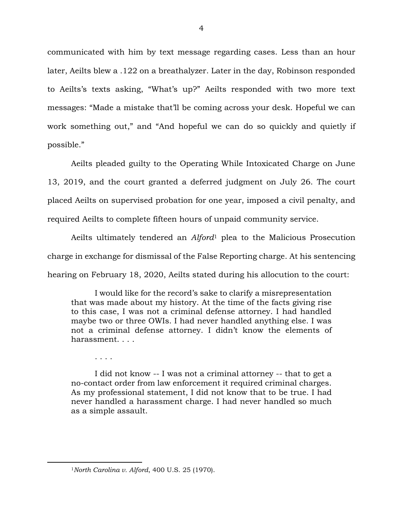communicated with him by text message regarding cases. Less than an hour later, Aeilts blew a .122 on a breathalyzer. Later in the day, Robinson responded to Aeilts's texts asking, "What's up?" Aeilts responded with two more text messages: "Made a mistake that'll be coming across your desk. Hopeful we can work something out," and "And hopeful we can do so quickly and quietly if possible."

Aeilts pleaded guilty to the Operating While Intoxicated Charge on June 13, 2019, and the court granted a deferred judgment on July 26. The court placed Aeilts on supervised probation for one year, imposed a civil penalty, and required Aeilts to complete fifteen hours of unpaid community service.

Aeilts ultimately tendered an *Alford*<sup>1</sup> plea to the Malicious Prosecution charge in exchange for dismissal of the False Reporting charge. At his sentencing hearing on February 18, 2020, Aeilts stated during his allocution to the court:

I would like for the record's sake to clarify a misrepresentation that was made about my history. At the time of the facts giving rise to this case, I was not a criminal defense attorney. I had handled maybe two or three OWIs. I had never handled anything else. I was not a criminal defense attorney. I didn't know the elements of harassment. . . .

. . . .

 $\overline{a}$ 

I did not know -- I was not a criminal attorney -- that to get a no-contact order from law enforcement it required criminal charges. As my professional statement, I did not know that to be true. I had never handled a harassment charge. I had never handled so much as a simple assault.

<sup>1</sup>*North Carolina v. Alford*, 400 U.S. 25 (1970).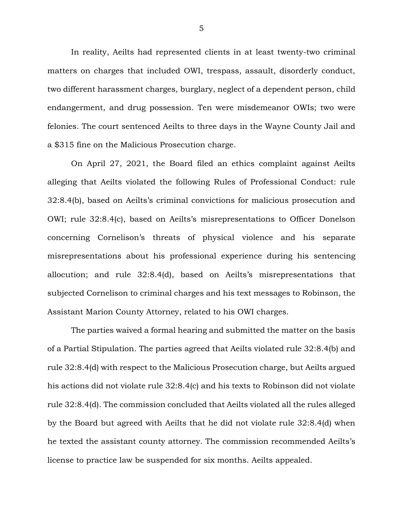In reality, Aeilts had represented clients in at least twenty-two criminal matters on charges that included OWI, trespass, assault, disorderly conduct, two different harassment charges, burglary, neglect of a dependent person, child endangerment, and drug possession. Ten were misdemeanor OWIs; two were felonies. The court sentenced Aeilts to three days in the Wayne County Jail and a \$315 fine on the Malicious Prosecution charge.

On April 27, 2021, the Board filed an ethics complaint against Aeilts alleging that Aeilts violated the following Rules of Professional Conduct: rule 32:8.4(b), based on Aeilts's criminal convictions for malicious prosecution and OWI; rule 32:8.4(c), based on Aeilts's misrepresentations to Officer Donelson concerning Cornelison's threats of physical violence and his separate misrepresentations about his professional experience during his sentencing allocution; and rule 32:8.4(d), based on Aeilts's misrepresentations that subjected Cornelison to criminal charges and his text messages to Robinson, the Assistant Marion County Attorney, related to his OWI charges.

The parties waived a formal hearing and submitted the matter on the basis of a Partial Stipulation. The parties agreed that Aeilts violated rule 32:8.4(b) and rule 32:8.4(d) with respect to the Malicious Prosecution charge, but Aeilts argued his actions did not violate rule 32:8.4(c) and his texts to Robinson did not violate rule 32:8.4(d). The commission concluded that Aeilts violated all the rules alleged by the Board but agreed with Aeilts that he did not violate rule 32:8.4(d) when he texted the assistant county attorney. The commission recommended Aeilts's license to practice law be suspended for six months. Aeilts appealed.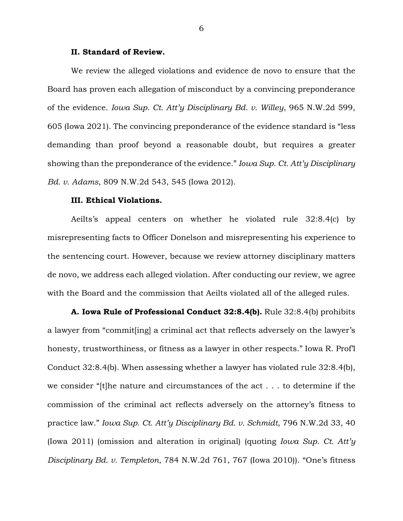### **II. Standard of Review.**

We review the alleged violations and evidence de novo to ensure that the Board has proven each allegation of misconduct by a convincing preponderance of the evidence. *Iowa Sup. Ct. Att'y Disciplinary Bd. v. Willey*, 965 N.W.2d 599, 605 (Iowa 2021). The convincing preponderance of the evidence standard is "less demanding than proof beyond a reasonable doubt, but requires a greater showing than the preponderance of the evidence." *Iowa Sup. Ct. Att'y Disciplinary Bd. v. Adams*, 809 N.W.2d 543, 545 (Iowa 2012).

### **III. Ethical Violations.**

Aeilts's appeal centers on whether he violated rule 32:8.4(c) by misrepresenting facts to Officer Donelson and misrepresenting his experience to the sentencing court. However, because we review attorney disciplinary matters de novo, we address each alleged violation. After conducting our review, we agree with the Board and the commission that Aeilts violated all of the alleged rules.

**A. Iowa Rule of Professional Conduct 32:8.4(b).** Rule 32:8.4(b) prohibits a lawyer from "commit[ing] a criminal act that reflects adversely on the lawyer's honesty, trustworthiness, or fitness as a lawyer in other respects." Iowa R. Prof'l Conduct 32:8.4(b). When assessing whether a lawyer has violated rule 32:8.4(b), we consider "[t]he nature and circumstances of the act . . . to determine if the commission of the criminal act reflects adversely on the attorney's fitness to practice law." *Iowa Sup. Ct. Att'y Disciplinary Bd. v. Schmidt*, 796 N.W.2d 33, 40 (Iowa 2011) (omission and alteration in original) (quoting *Iowa Sup. Ct. Att'y Disciplinary Bd. v. Templeton*, 784 N.W.2d 761, 767 (Iowa 2010)). "One's fitness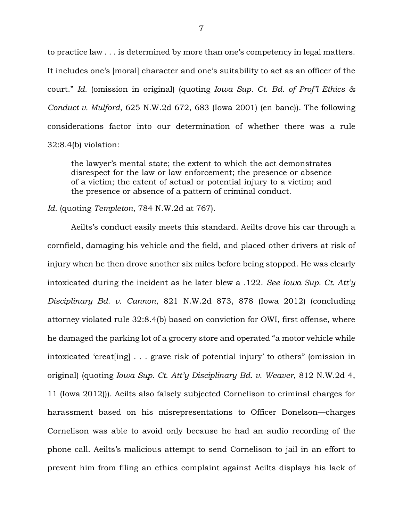to practice law . . . is determined by more than one's competency in legal matters. It includes one's [moral] character and one's suitability to act as an officer of the court." *Id.* (omission in original) (quoting *Iowa Sup. Ct. Bd. of Prof'l Ethics & Conduct v. Mulford*, 625 N.W.2d 672, 683 (Iowa 2001) (en banc)). The following considerations factor into our determination of whether there was a rule 32:8.4(b) violation:

the lawyer's mental state; the extent to which the act demonstrates disrespect for the law or law enforcement; the presence or absence of a victim; the extent of actual or potential injury to a victim; and the presence or absence of a pattern of criminal conduct.

### *Id.* (quoting *Templeton*, 784 N.W.2d at 767).

Aeilts's conduct easily meets this standard. Aeilts drove his car through a cornfield, damaging his vehicle and the field, and placed other drivers at risk of injury when he then drove another six miles before being stopped. He was clearly intoxicated during the incident as he later blew a .122. *See Iowa Sup. Ct. Att'y Disciplinary Bd. v. Cannon*, 821 N.W.2d 873, 878 (Iowa 2012) (concluding attorney violated rule 32:8.4(b) based on conviction for OWI, first offense, where he damaged the parking lot of a grocery store and operated "a motor vehicle while intoxicated 'creat[ing] . . . grave risk of potential injury' to others" (omission in original) (quoting *Iowa Sup. Ct. Att'y Disciplinary Bd. v. Weaver*, 812 N.W.2d 4, 11 (Iowa 2012))). Aeilts also falsely subjected Cornelison to criminal charges for harassment based on his misrepresentations to Officer Donelson—charges Cornelison was able to avoid only because he had an audio recording of the phone call. Aeilts's malicious attempt to send Cornelison to jail in an effort to prevent him from filing an ethics complaint against Aeilts displays his lack of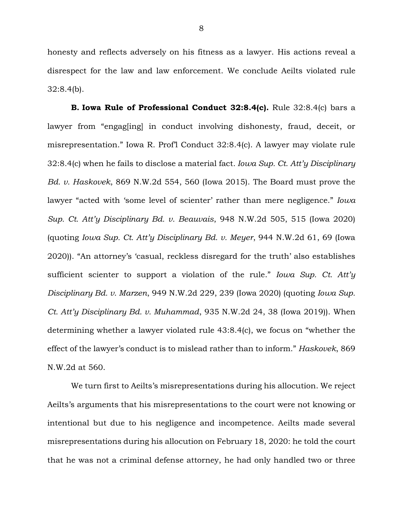honesty and reflects adversely on his fitness as a lawyer. His actions reveal a disrespect for the law and law enforcement. We conclude Aeilts violated rule 32:8.4(b).

**B. Iowa Rule of Professional Conduct 32:8.4(c).** Rule 32:8.4(c) bars a lawyer from "engag[ing] in conduct involving dishonesty, fraud, deceit, or misrepresentation." Iowa R. Prof'l Conduct 32:8.4(c). A lawyer may violate rule 32:8.4(c) when he fails to disclose a material fact*. Iowa Sup. Ct. Att'y Disciplinary Bd. v. Haskovek*, 869 N.W.2d 554, 560 (Iowa 2015). The Board must prove the lawyer "acted with 'some level of scienter' rather than mere negligence." *Iowa Sup. Ct. Att'y Disciplinary Bd. v. Beauvais*, 948 N.W.2d 505, 515 (Iowa 2020) (quoting *Iowa Sup. Ct. Att'y Disciplinary Bd. v. Meyer*, 944 N.W.2d 61, 69 (Iowa 2020)). "An attorney's 'casual, reckless disregard for the truth' also establishes sufficient scienter to support a violation of the rule." *Iowa Sup. Ct. Att'y Disciplinary Bd. v. Marzen*, 949 N.W.2d 229, 239 (Iowa 2020) (quoting *Iowa Sup. Ct. Att'y Disciplinary Bd. v. Muhammad*, 935 N.W.2d 24, 38 (Iowa 2019)). When determining whether a lawyer violated rule 43:8.4(c), we focus on "whether the effect of the lawyer's conduct is to mislead rather than to inform." *Haskovek*, 869 N.W.2d at 560.

We turn first to Aeilts's misrepresentations during his allocution. We reject Aeilts's arguments that his misrepresentations to the court were not knowing or intentional but due to his negligence and incompetence. Aeilts made several misrepresentations during his allocution on February 18, 2020: he told the court that he was not a criminal defense attorney, he had only handled two or three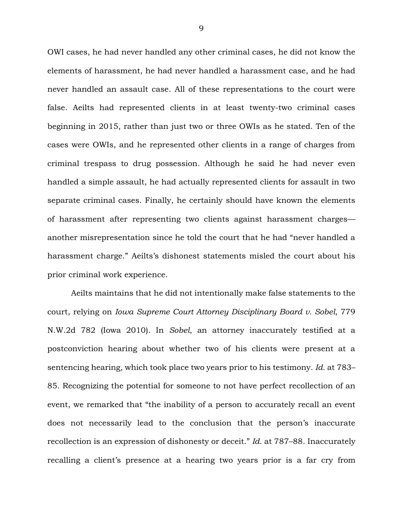OWI cases, he had never handled any other criminal cases, he did not know the elements of harassment, he had never handled a harassment case, and he had never handled an assault case. All of these representations to the court were false. Aeilts had represented clients in at least twenty-two criminal cases beginning in 2015, rather than just two or three OWIs as he stated. Ten of the cases were OWIs, and he represented other clients in a range of charges from criminal trespass to drug possession. Although he said he had never even handled a simple assault, he had actually represented clients for assault in two separate criminal cases. Finally, he certainly should have known the elements of harassment after representing two clients against harassment charges another misrepresentation since he told the court that he had "never handled a harassment charge." Aeilts's dishonest statements misled the court about his prior criminal work experience.

Aeilts maintains that he did not intentionally make false statements to the court, relying on *Iowa Supreme Court Attorney Disciplinary Board v. Sobel*, 779 N.W.2d 782 (Iowa 2010). In *Sobel*, an attorney inaccurately testified at a postconviction hearing about whether two of his clients were present at a sentencing hearing, which took place two years prior to his testimony. *Id.* at 783– 85. Recognizing the potential for someone to not have perfect recollection of an event, we remarked that "the inability of a person to accurately recall an event does not necessarily lead to the conclusion that the person's inaccurate recollection is an expression of dishonesty or deceit." *Id.* at 787–88. Inaccurately recalling a client's presence at a hearing two years prior is a far cry from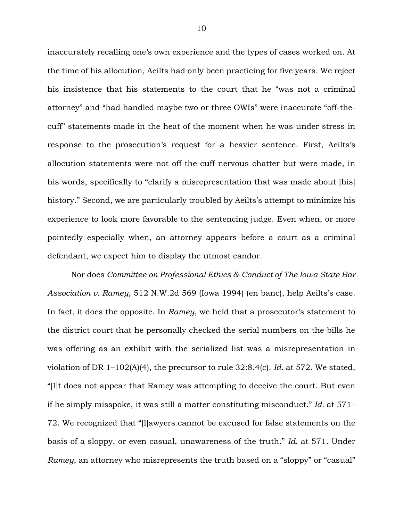inaccurately recalling one's own experience and the types of cases worked on. At the time of his allocution, Aeilts had only been practicing for five years. We reject his insistence that his statements to the court that he "was not a criminal attorney" and "had handled maybe two or three OWIs" were inaccurate "off-thecuff" statements made in the heat of the moment when he was under stress in response to the prosecution's request for a heavier sentence. First, Aeilts's allocution statements were not off-the-cuff nervous chatter but were made, in his words, specifically to "clarify a misrepresentation that was made about [his] history." Second, we are particularly troubled by Aeilts's attempt to minimize his experience to look more favorable to the sentencing judge. Even when, or more pointedly especially when, an attorney appears before a court as a criminal defendant, we expect him to display the utmost candor.

Nor does *Committee on Professional Ethics & Conduct of The Iowa State Bar Association v. Ramey*, 512 N.W.2d 569 (Iowa 1994) (en banc), help Aeilts's case. In fact, it does the opposite. In *Ramey*, we held that a prosecutor's statement to the district court that he personally checked the serial numbers on the bills he was offering as an exhibit with the serialized list was a misrepresentation in violation of DR 1–102(A)(4), the precursor to rule 32:8.4(c). *Id.* at 572. We stated, "[I]t does not appear that Ramey was attempting to deceive the court. But even if he simply misspoke, it was still a matter constituting misconduct." *Id.* at 571– 72. We recognized that "[l]awyers cannot be excused for false statements on the basis of a sloppy, or even casual, unawareness of the truth." *Id.* at 571. Under *Ramey*, an attorney who misrepresents the truth based on a "sloppy" or "casual"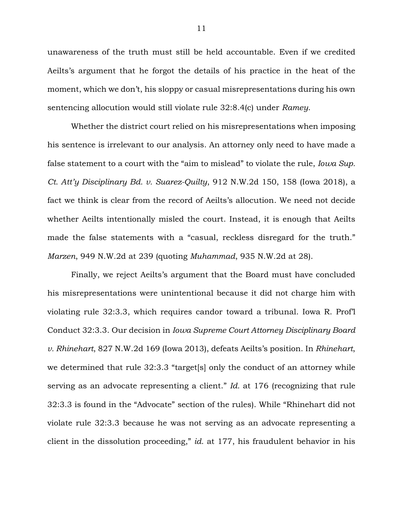unawareness of the truth must still be held accountable. Even if we credited Aeilts's argument that he forgot the details of his practice in the heat of the moment, which we don't, his sloppy or casual misrepresentations during his own sentencing allocution would still violate rule 32:8.4(c) under *Ramey*.

Whether the district court relied on his misrepresentations when imposing his sentence is irrelevant to our analysis. An attorney only need to have made a false statement to a court with the "aim to mislead" to violate the rule, *Iowa Sup. Ct. Att'y Disciplinary Bd. v. Suarez-Quilty*, 912 N.W.2d 150, 158 (Iowa 2018), a fact we think is clear from the record of Aeilts's allocution. We need not decide whether Aeilts intentionally misled the court. Instead, it is enough that Aeilts made the false statements with a "casual, reckless disregard for the truth." *Marzen*, 949 N.W.2d at 239 (quoting *Muhammad*, 935 N.W.2d at 28).

Finally, we reject Aeilts's argument that the Board must have concluded his misrepresentations were unintentional because it did not charge him with violating rule 32:3.3, which requires candor toward a tribunal. Iowa R. Prof'l Conduct 32:3.3. Our decision in *Iowa Supreme Court Attorney Disciplinary Board v. Rhinehart*, 827 N.W.2d 169 (Iowa 2013), defeats Aeilts's position. In *Rhinehart*, we determined that rule 32:3.3 "target[s] only the conduct of an attorney while serving as an advocate representing a client." *Id.* at 176 (recognizing that rule 32:3.3 is found in the "Advocate" section of the rules). While "Rhinehart did not violate rule 32:3.3 because he was not serving as an advocate representing a client in the dissolution proceeding," *id.* at 177, his fraudulent behavior in his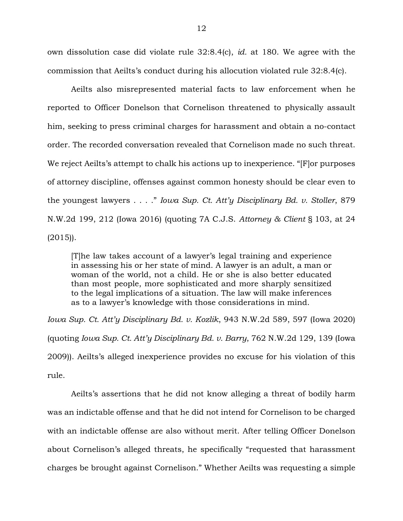own dissolution case did violate rule 32:8.4(c), *id.* at 180. We agree with the commission that Aeilts's conduct during his allocution violated rule 32:8.4(c).

Aeilts also misrepresented material facts to law enforcement when he reported to Officer Donelson that Cornelison threatened to physically assault him, seeking to press criminal charges for harassment and obtain a no-contact order. The recorded conversation revealed that Cornelison made no such threat. We reject Aeilts's attempt to chalk his actions up to inexperience. "[F]or purposes of attorney discipline, offenses against common honesty should be clear even to the youngest lawyers . . . ." *Iowa Sup. Ct. Att'y Disciplinary Bd. v. Stoller*, 879 N.W.2d 199, 212 (Iowa 2016) (quoting 7A C.J.S. *Attorney & Client* § 103, at 24  $(2015)$ .

[T]he law takes account of a lawyer's legal training and experience in assessing his or her state of mind. A lawyer is an adult, a man or woman of the world, not a child. He or she is also better educated than most people, more sophisticated and more sharply sensitized to the legal implications of a situation. The law will make inferences as to a lawyer's knowledge with those considerations in mind.

*Iowa Sup. Ct. Att'y Disciplinary Bd. v. Kozlik*, 943 N.W.2d 589, 597 (Iowa 2020) (quoting *Iowa Sup. Ct. Att'y Disciplinary Bd. v. Barry*, 762 N.W.2d 129, 139 (Iowa 2009)). Aeilts's alleged inexperience provides no excuse for his violation of this rule.

Aeilts's assertions that he did not know alleging a threat of bodily harm was an indictable offense and that he did not intend for Cornelison to be charged with an indictable offense are also without merit. After telling Officer Donelson about Cornelison's alleged threats, he specifically "requested that harassment charges be brought against Cornelison." Whether Aeilts was requesting a simple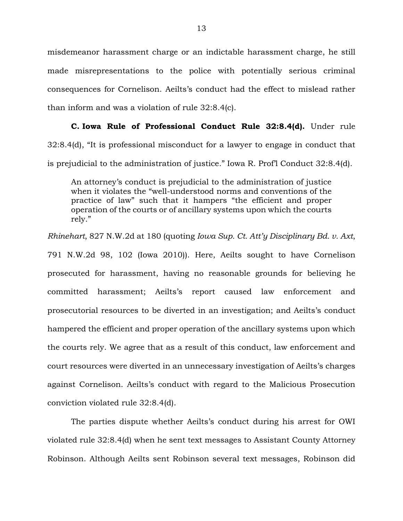misdemeanor harassment charge or an indictable harassment charge, he still made misrepresentations to the police with potentially serious criminal consequences for Cornelison. Aeilts's conduct had the effect to mislead rather than inform and was a violation of rule 32:8.4(c).

### **C. Iowa Rule of Professional Conduct Rule 32:8.4(d).** Under rule

32:8.4(d), "It is professional misconduct for a lawyer to engage in conduct that is prejudicial to the administration of justice." Iowa R. Prof'l Conduct 32:8.4(d).

An attorney's conduct is prejudicial to the administration of justice when it violates the "well-understood norms and conventions of the practice of law" such that it hampers "the efficient and proper operation of the courts or of ancillary systems upon which the courts rely."

*Rhinehart*, 827 N.W.2d at 180 (quoting *Iowa Sup. Ct. Att'y Disciplinary Bd. v. Axt*,

791 N.W.2d 98, 102 (Iowa 2010)). Here, Aeilts sought to have Cornelison prosecuted for harassment, having no reasonable grounds for believing he committed harassment; Aeilts's report caused law enforcement and prosecutorial resources to be diverted in an investigation; and Aeilts's conduct hampered the efficient and proper operation of the ancillary systems upon which the courts rely. We agree that as a result of this conduct, law enforcement and court resources were diverted in an unnecessary investigation of Aeilts's charges against Cornelison. Aeilts's conduct with regard to the Malicious Prosecution conviction violated rule 32:8.4(d).

The parties dispute whether Aeilts's conduct during his arrest for OWI violated rule 32:8.4(d) when he sent text messages to Assistant County Attorney Robinson. Although Aeilts sent Robinson several text messages, Robinson did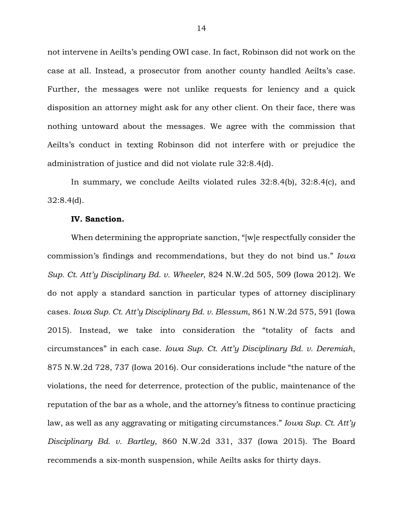not intervene in Aeilts's pending OWI case. In fact, Robinson did not work on the case at all. Instead, a prosecutor from another county handled Aeilts's case. Further, the messages were not unlike requests for leniency and a quick disposition an attorney might ask for any other client. On their face, there was nothing untoward about the messages. We agree with the commission that Aeilts's conduct in texting Robinson did not interfere with or prejudice the administration of justice and did not violate rule 32:8.4(d).

In summary, we conclude Aeilts violated rules 32:8.4(b), 32:8.4(c), and 32:8.4(d).

### **IV. Sanction.**

When determining the appropriate sanction, "[w]e respectfully consider the commission's findings and recommendations, but they do not bind us." *Iowa Sup. Ct. Att'y Disciplinary Bd. v. Wheeler*, 824 N.W.2d 505, 509 (Iowa 2012). We do not apply a standard sanction in particular types of attorney disciplinary cases. *Iowa Sup. Ct. Att'y Disciplinary Bd. v. Blessum*, 861 N.W.2d 575, 591 (Iowa 2015). Instead, we take into consideration the "totality of facts and circumstances" in each case. *Iowa Sup. Ct. Att'y Disciplinary Bd. v. Deremiah*, 875 N.W.2d 728, 737 (Iowa 2016). Our considerations include "the nature of the violations, the need for deterrence, protection of the public, maintenance of the reputation of the bar as a whole, and the attorney's fitness to continue practicing law, as well as any aggravating or mitigating circumstances." *Iowa Sup. Ct. Att'y Disciplinary Bd. v. Bartley*, 860 N.W.2d 331, 337 (Iowa 2015). The Board recommends a six-month suspension, while Aeilts asks for thirty days.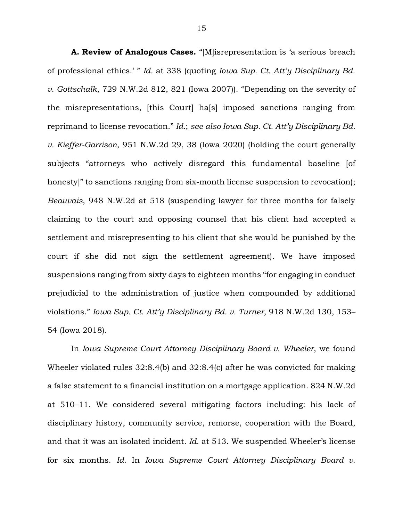**A. Review of Analogous Cases.** "[M]isrepresentation is 'a serious breach of professional ethics.' " *Id.* at 338 (quoting *Iowa Sup. Ct. Att'y Disciplinary Bd. v. Gottschalk*, 729 N.W.2d 812, 821 (Iowa 2007)). "Depending on the severity of the misrepresentations, [this Court] ha[s] imposed sanctions ranging from reprimand to license revocation." *Id.*; *see also Iowa Sup. Ct. Att'y Disciplinary Bd. v. Kieffer-Garrison*, 951 N.W.2d 29, 38 (Iowa 2020) (holding the court generally subjects "attorneys who actively disregard this fundamental baseline [of honesty]" to sanctions ranging from six-month license suspension to revocation); *Beauvais*, 948 N.W.2d at 518 (suspending lawyer for three months for falsely claiming to the court and opposing counsel that his client had accepted a settlement and misrepresenting to his client that she would be punished by the court if she did not sign the settlement agreement). We have imposed suspensions ranging from sixty days to eighteen months "for engaging in conduct prejudicial to the administration of justice when compounded by additional violations." *Iowa Sup. Ct. Att'y Disciplinary Bd. v. Turner*, 918 N.W.2d 130, 153– 54 (Iowa 2018).

In *Iowa Supreme Court Attorney Disciplinary Board v. Wheeler*, we found Wheeler violated rules 32:8.4(b) and 32:8.4(c) after he was convicted for making a false statement to a financial institution on a mortgage application. 824 N.W.2d at 510–11. We considered several mitigating factors including: his lack of disciplinary history, community service, remorse, cooperation with the Board, and that it was an isolated incident. *Id.* at 513. We suspended Wheeler's license for six months. *Id.* In *Iowa Supreme Court Attorney Disciplinary Board v.*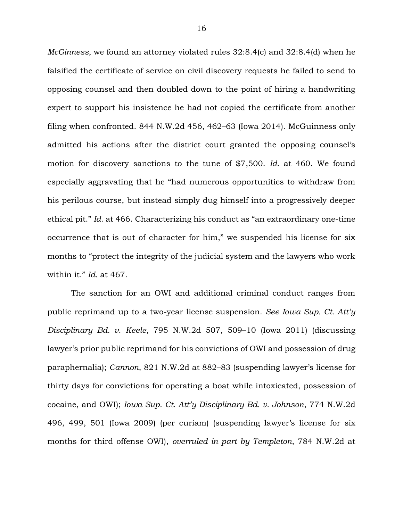*McGinness*, we found an attorney violated rules 32:8.4(c) and 32:8.4(d) when he falsified the certificate of service on civil discovery requests he failed to send to opposing counsel and then doubled down to the point of hiring a handwriting expert to support his insistence he had not copied the certificate from another filing when confronted. 844 N.W.2d 456, 462–63 (Iowa 2014). McGuinness only admitted his actions after the district court granted the opposing counsel's motion for discovery sanctions to the tune of \$7,500. *Id.* at 460. We found especially aggravating that he "had numerous opportunities to withdraw from his perilous course, but instead simply dug himself into a progressively deeper ethical pit." *Id.* at 466. Characterizing his conduct as "an extraordinary one-time occurrence that is out of character for him," we suspended his license for six months to "protect the integrity of the judicial system and the lawyers who work within it." *Id.* at 467.

The sanction for an OWI and additional criminal conduct ranges from public reprimand up to a two-year license suspension. *See Iowa Sup. Ct. Att'y Disciplinary Bd. v. Keele*, 795 N.W.2d 507, 509–10 (Iowa 2011) (discussing lawyer's prior public reprimand for his convictions of OWI and possession of drug paraphernalia); *Cannon*, 821 N.W.2d at 882–83 (suspending lawyer's license for thirty days for convictions for operating a boat while intoxicated, possession of cocaine, and OWI); *Iowa Sup. Ct. Att'y Disciplinary Bd. v. Johnson*, 774 N.W.2d 496, 499, 501 (Iowa 2009) (per curiam) (suspending lawyer's license for six months for third offense OWI), *overruled in part by Templeton*, 784 N.W.2d at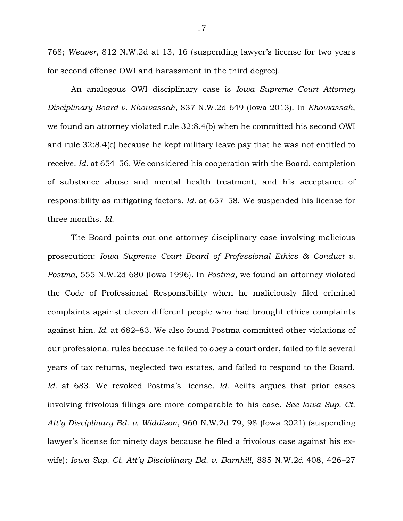768; *Weaver*, 812 N.W.2d at 13, 16 (suspending lawyer's license for two years for second offense OWI and harassment in the third degree).

An analogous OWI disciplinary case is *Iowa Supreme Court Attorney Disciplinary Board v. Khowassah*, 837 N.W.2d 649 (Iowa 2013). In *Khowassah*, we found an attorney violated rule 32:8.4(b) when he committed his second OWI and rule 32:8.4(c) because he kept military leave pay that he was not entitled to receive. *Id.* at 654–56. We considered his cooperation with the Board, completion of substance abuse and mental health treatment, and his acceptance of responsibility as mitigating factors. *Id.* at 657–58. We suspended his license for three months. *Id.*

The Board points out one attorney disciplinary case involving malicious prosecution: *Iowa Supreme Court Board of Professional Ethics & Conduct v. Postma*, 555 N.W.2d 680 (Iowa 1996). In *Postma*, we found an attorney violated the Code of Professional Responsibility when he maliciously filed criminal complaints against eleven different people who had brought ethics complaints against him. *Id.* at 682–83. We also found Postma committed other violations of our professional rules because he failed to obey a court order, failed to file several years of tax returns, neglected two estates, and failed to respond to the Board. *Id.* at 683. We revoked Postma's license. *Id.* Aeilts argues that prior cases involving frivolous filings are more comparable to his case. *See Iowa Sup. Ct. Att'y Disciplinary Bd. v. Widdison*, 960 N.W.2d 79, 98 (Iowa 2021) (suspending lawyer's license for ninety days because he filed a frivolous case against his exwife); *Iowa Sup. Ct. Att'y Disciplinary Bd. v. Barnhill*, 885 N.W.2d 408, 426–27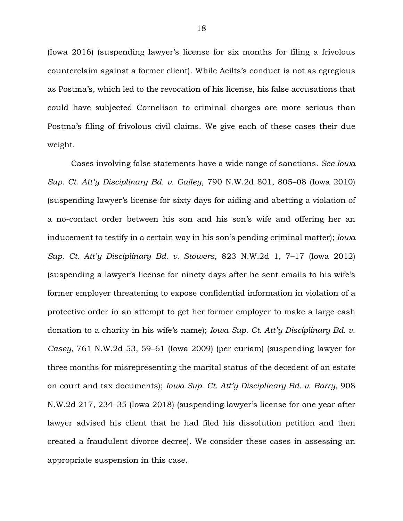(Iowa 2016) (suspending lawyer's license for six months for filing a frivolous counterclaim against a former client). While Aeilts's conduct is not as egregious as Postma's, which led to the revocation of his license, his false accusations that could have subjected Cornelison to criminal charges are more serious than Postma's filing of frivolous civil claims. We give each of these cases their due weight.

Cases involving false statements have a wide range of sanctions. *See Iowa Sup. Ct. Att'y Disciplinary Bd. v. Gailey*, 790 N.W.2d 801, 805–08 (Iowa 2010) (suspending lawyer's license for sixty days for aiding and abetting a violation of a no-contact order between his son and his son's wife and offering her an inducement to testify in a certain way in his son's pending criminal matter); *Iowa Sup. Ct. Att'y Disciplinary Bd. v. Stowers*, 823 N.W.2d 1, 7–17 (Iowa 2012) (suspending a lawyer's license for ninety days after he sent emails to his wife's former employer threatening to expose confidential information in violation of a protective order in an attempt to get her former employer to make a large cash donation to a charity in his wife's name); *Iowa Sup. Ct. Att'y Disciplinary Bd. v. Casey*, 761 N.W.2d 53, 59–61 (Iowa 2009) (per curiam) (suspending lawyer for three months for misrepresenting the marital status of the decedent of an estate on court and tax documents); *Iowa Sup. Ct. Att'y Disciplinary Bd. v. Barry*, 908 N.W.2d 217, 234–35 (Iowa 2018) (suspending lawyer's license for one year after lawyer advised his client that he had filed his dissolution petition and then created a fraudulent divorce decree). We consider these cases in assessing an appropriate suspension in this case.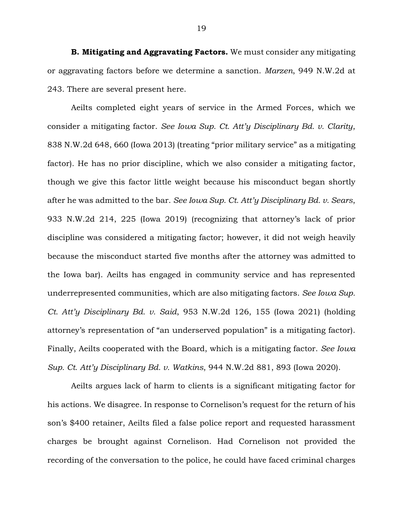**B. Mitigating and Aggravating Factors.** We must consider any mitigating or aggravating factors before we determine a sanction. *Marzen*, 949 N.W.2d at 243. There are several present here.

Aeilts completed eight years of service in the Armed Forces, which we consider a mitigating factor. *See Iowa Sup. Ct. Att'y Disciplinary Bd. v. Clarity*, 838 N.W.2d 648, 660 (Iowa 2013) (treating "prior military service" as a mitigating factor). He has no prior discipline, which we also consider a mitigating factor, though we give this factor little weight because his misconduct began shortly after he was admitted to the bar. *See Iowa Sup. Ct. Att'y Disciplinary Bd. v. Sears*, 933 N.W.2d 214, 225 (Iowa 2019) (recognizing that attorney's lack of prior discipline was considered a mitigating factor; however, it did not weigh heavily because the misconduct started five months after the attorney was admitted to the Iowa bar). Aeilts has engaged in community service and has represented underrepresented communities, which are also mitigating factors. *See Iowa Sup. Ct. Att'y Disciplinary Bd. v. Said*, 953 N.W.2d 126, 155 (Iowa 2021) (holding attorney's representation of "an underserved population" is a mitigating factor). Finally, Aeilts cooperated with the Board, which is a mitigating factor. *See Iowa Sup. Ct. Att'y Disciplinary Bd. v. Watkins*, 944 N.W.2d 881, 893 (Iowa 2020).

Aeilts argues lack of harm to clients is a significant mitigating factor for his actions. We disagree. In response to Cornelison's request for the return of his son's \$400 retainer, Aeilts filed a false police report and requested harassment charges be brought against Cornelison. Had Cornelison not provided the recording of the conversation to the police, he could have faced criminal charges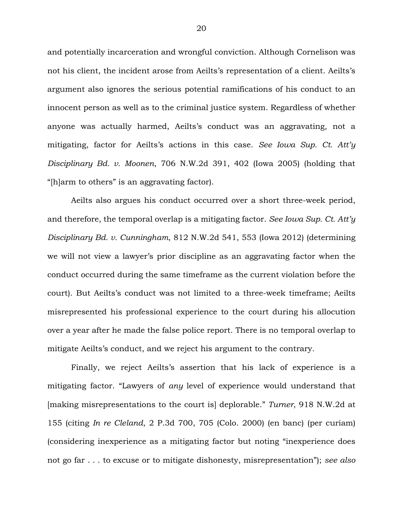and potentially incarceration and wrongful conviction. Although Cornelison was not his client, the incident arose from Aeilts's representation of a client. Aeilts's argument also ignores the serious potential ramifications of his conduct to an innocent person as well as to the criminal justice system. Regardless of whether anyone was actually harmed, Aeilts's conduct was an aggravating, not a mitigating, factor for Aeilts's actions in this case. *See Iowa Sup. Ct. Att'y Disciplinary Bd. v. Moonen*, 706 N.W.2d 391, 402 (Iowa 2005) (holding that "[h]arm to others" is an aggravating factor).

Aeilts also argues his conduct occurred over a short three-week period, and therefore, the temporal overlap is a mitigating factor. *See Iowa Sup. Ct. Att'y Disciplinary Bd. v. Cunningham*, 812 N.W.2d 541, 553 (Iowa 2012) (determining we will not view a lawyer's prior discipline as an aggravating factor when the conduct occurred during the same timeframe as the current violation before the court). But Aeilts's conduct was not limited to a three-week timeframe; Aeilts misrepresented his professional experience to the court during his allocution over a year after he made the false police report. There is no temporal overlap to mitigate Aeilts's conduct, and we reject his argument to the contrary.

Finally, we reject Aeilts's assertion that his lack of experience is a mitigating factor. "Lawyers of *any* level of experience would understand that [making misrepresentations to the court is] deplorable." *Turner*, 918 N.W.2d at 155 (citing *In re Cleland*, 2 P.3d 700, 705 (Colo. 2000) (en banc) (per curiam) (considering inexperience as a mitigating factor but noting "inexperience does not go far . . . to excuse or to mitigate dishonesty, misrepresentation"); *see also*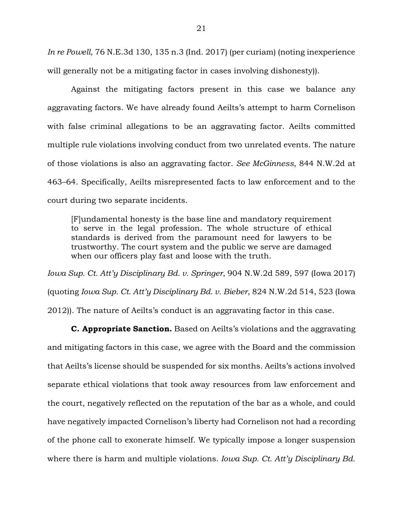*In re Powell*, 76 N.E.3d 130, 135 n.3 (Ind. 2017) (per curiam) (noting inexperience will generally not be a mitigating factor in cases involving dishonesty)).

Against the mitigating factors present in this case we balance any aggravating factors. We have already found Aeilts's attempt to harm Cornelison with false criminal allegations to be an aggravating factor. Aeilts committed multiple rule violations involving conduct from two unrelated events. The nature of those violations is also an aggravating factor. *See McGinness*, 844 N.W.2d at 463–64. Specifically, Aeilts misrepresented facts to law enforcement and to the court during two separate incidents.

[F]undamental honesty is the base line and mandatory requirement to serve in the legal profession. The whole structure of ethical standards is derived from the paramount need for lawyers to be trustworthy. The court system and the public we serve are damaged when our officers play fast and loose with the truth.

*Iowa Sup. Ct. Att'y Disciplinary Bd. v. Springer*, 904 N.W.2d 589, 597 (Iowa 2017) (quoting *Iowa Sup. Ct. Att'y Disciplinary Bd. v. Bieber*, 824 N.W.2d 514, 523 (Iowa 2012)). The nature of Aeilts's conduct is an aggravating factor in this case.

**C. Appropriate Sanction.** Based on Aeilts's violations and the aggravating and mitigating factors in this case, we agree with the Board and the commission that Aeilts's license should be suspended for six months. Aeilts's actions involved separate ethical violations that took away resources from law enforcement and the court, negatively reflected on the reputation of the bar as a whole, and could have negatively impacted Cornelison's liberty had Cornelison not had a recording of the phone call to exonerate himself. We typically impose a longer suspension where there is harm and multiple violations. *Iowa Sup. Ct. Att'y Disciplinary Bd.*